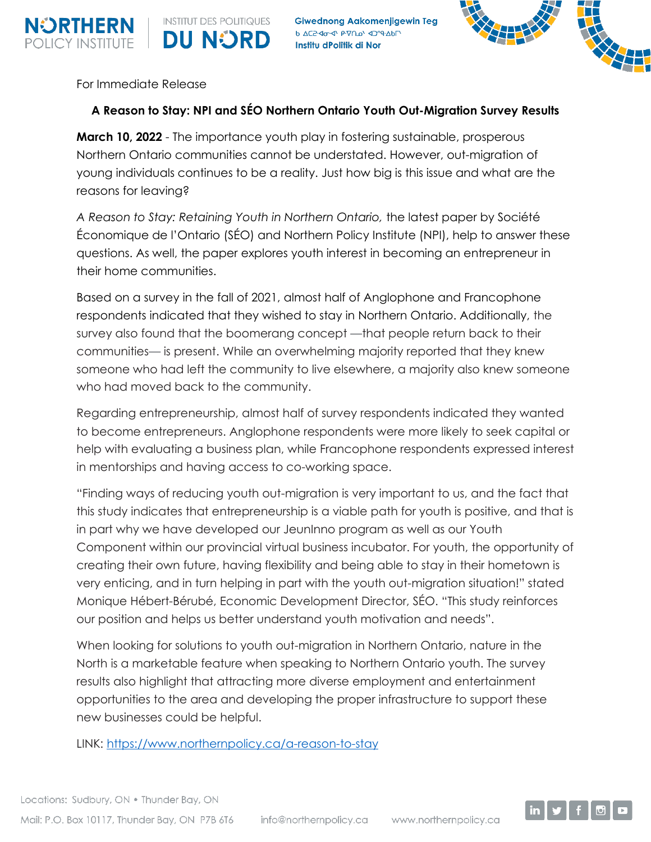

**Giwednong Aakomenjigewin Teg** h AC2-40-41 P-70-4 4019-Abr Institu dPolitik di Nor



For Immediate Release

**INSTITUT DES POLITIQUES** 

**DU NORD** 

## **A Reason to Stay: NPI and SÉO Northern Ontario Youth Out-Migration Survey Results**

**March 10, 2022** - The importance youth play in fostering sustainable, prosperous Northern Ontario communities cannot be understated. However, out-migration of young individuals continues to be a reality. Just how big is this issue and what are the reasons for leaving?

*A Reason to Stay: Retaining Youth in Northern Ontario,* the latest paper by Société Économique de l'Ontario (SÉO) and Northern Policy Institute (NPI), help to answer these questions. As well, the paper explores youth interest in becoming an entrepreneur in their home communities.

Based on a survey in the fall of 2021, almost half of Anglophone and Francophone respondents indicated that they wished to stay in Northern Ontario. Additionally, the survey also found that the boomerang concept —that people return back to their communities— is present. While an overwhelming majority reported that they knew someone who had left the community to live elsewhere, a majority also knew someone who had moved back to the community.

Regarding entrepreneurship, almost half of survey respondents indicated they wanted to become entrepreneurs. Anglophone respondents were more likely to seek capital or help with evaluating a business plan, while Francophone respondents expressed interest in mentorships and having access to co-working space.

"Finding ways of reducing youth out-migration is very important to us, and the fact that this study indicates that entrepreneurship is a viable path for youth is positive, and that is in part why we have developed our JeunInno program as well as our Youth Component within our provincial virtual business incubator. For youth, the opportunity of creating their own future, having flexibility and being able to stay in their hometown is very enticing, and in turn helping in part with the youth out-migration situation!" stated Monique Hébert-Bérubé, Economic Development Director, SÉO. "This study reinforces our position and helps us better understand youth motivation and needs".

When looking for solutions to youth out-migration in Northern Ontario, nature in the North is a marketable feature when speaking to Northern Ontario youth. The survey results also highlight that attracting more diverse employment and entertainment opportunities to the area and developing the proper infrastructure to support these new businesses could be helpful.

LINK: <https://www.northernpolicy.ca/a-reason-to-stay>